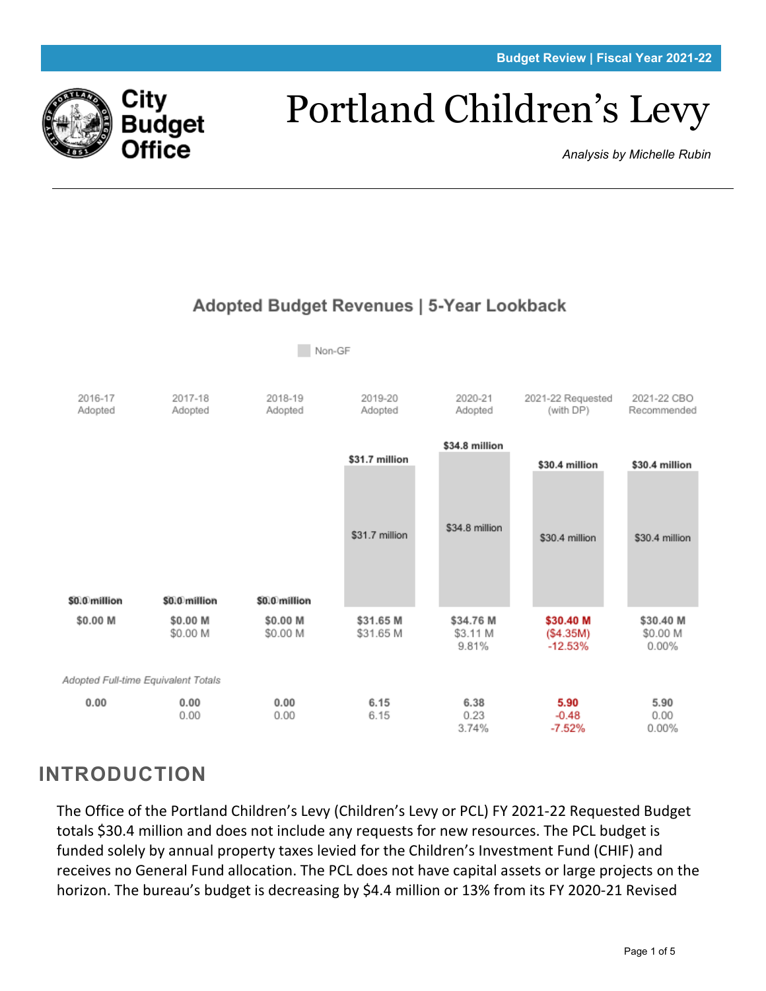

# Portland Children's Levy

*Analysis by Michelle Rubin*



## **INTRODUCTION**

The Office of the Portland Children's Levy (Children's Levy or PCL) FY 2021-22 Requested Budget totals \$30.4 million and does not include any requests for new resources. The PCL budget is funded solely by annual property taxes levied for the Children's Investment Fund (CHIF) and receives no General Fund allocation. The PCL does not have capital assets or large projects on the horizon. The bureau's budget is decreasing by \$4.4 million or 13% from its FY 2020-21 Revised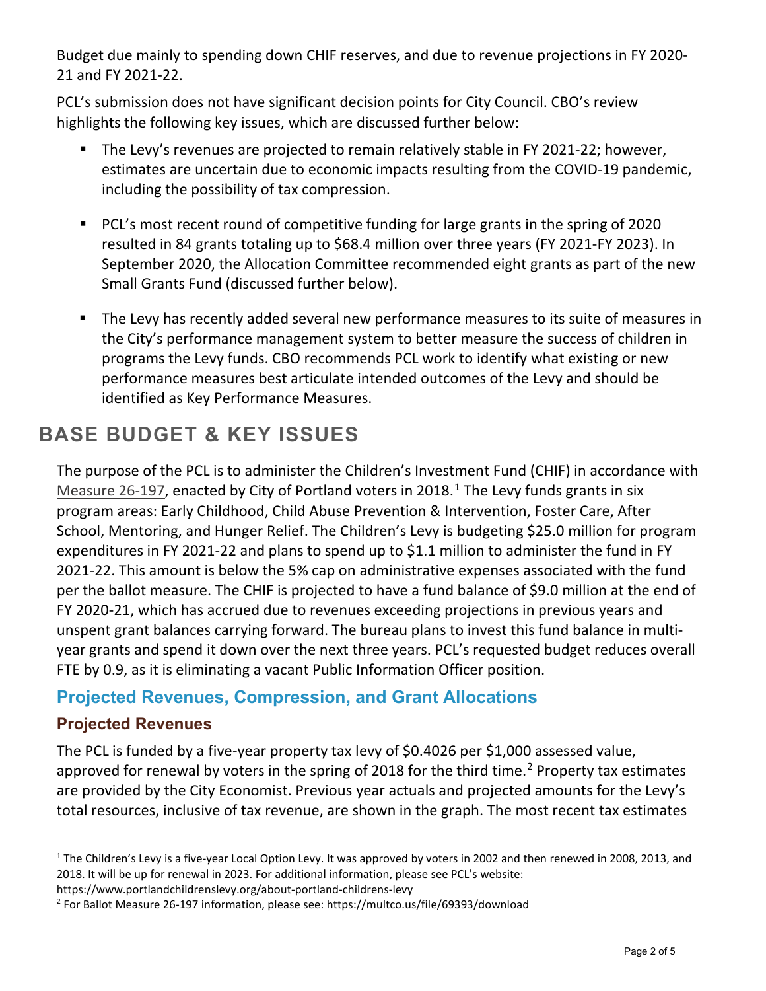Budget due mainly to spending down CHIF reserves, and due to revenue projections in FY 2020- 21 and FY 2021-22.

PCL's submission does not have significant decision points for City Council. CBO's review highlights the following key issues, which are discussed further below:

- **The Levy's revenues are projected to remain relatively stable in FY 2021-22; however,** estimates are uncertain due to economic impacts resulting from the COVID-19 pandemic, including the possibility of tax compression.
- PCL's most recent round of competitive funding for large grants in the spring of 2020 resulted in 84 grants totaling up to \$68.4 million over three years (FY 2021-FY 2023). In September 2020, the Allocation Committee recommended eight grants as part of the new Small Grants Fund (discussed further below).
- The Levy has recently added several new performance measures to its suite of measures in the City's performance management system to better measure the success of children in programs the Levy funds. CBO recommends PCL work to identify what existing or new performance measures best articulate intended outcomes of the Levy and should be identified as Key Performance Measures.

## **BASE BUDGET & KEY ISSUES**

The purpose of the PCL is to administer the Children's Investment Fund (CHIF) in accordance with [Measure 26-197,](https://multco.us/file/69393/download) enacted by City of Portland voters in 20[1](#page-1-0)8.<sup>1</sup> The Levy funds grants in six program areas: Early Childhood, Child Abuse Prevention & Intervention, Foster Care, After School, Mentoring, and Hunger Relief. The Children's Levy is budgeting \$25.0 million for program expenditures in FY 2021-22 and plans to spend up to \$1.1 million to administer the fund in FY 2021-22. This amount is below the 5% cap on administrative expenses associated with the fund per the ballot measure. The CHIF is projected to have a fund balance of \$9.0 million at the end of FY 2020-21, which has accrued due to revenues exceeding projections in previous years and unspent grant balances carrying forward. The bureau plans to invest this fund balance in multiyear grants and spend it down over the next three years. PCL's requested budget reduces overall FTE by 0.9, as it is eliminating a vacant Public Information Officer position.

#### **Projected Revenues, Compression, and Grant Allocations**

#### **Projected Revenues**

The PCL is funded by a five-year property tax levy of \$0.4026 per \$1,000 assessed value, approved for renewal by voters in the spring of [2](#page-1-1)018 for the third time.<sup>2</sup> Property tax estimates are provided by the City Economist. Previous year actuals and projected amounts for the Levy's total resources, inclusive of tax revenue, are shown in the graph. The most recent tax estimates

https://www.portlandchildrenslevy.org/about-portland-childrens-levy

<span id="page-1-0"></span> $1$  The Children's Levy is a five-year Local Option Levy. It was approved by voters in 2002 and then renewed in 2008, 2013, and 2018. It will be up for renewal in 2023. For additional information, please see PCL's website:

<span id="page-1-1"></span><sup>2</sup> For Ballot Measure 26-197 information, please see: https://multco.us/file/69393/download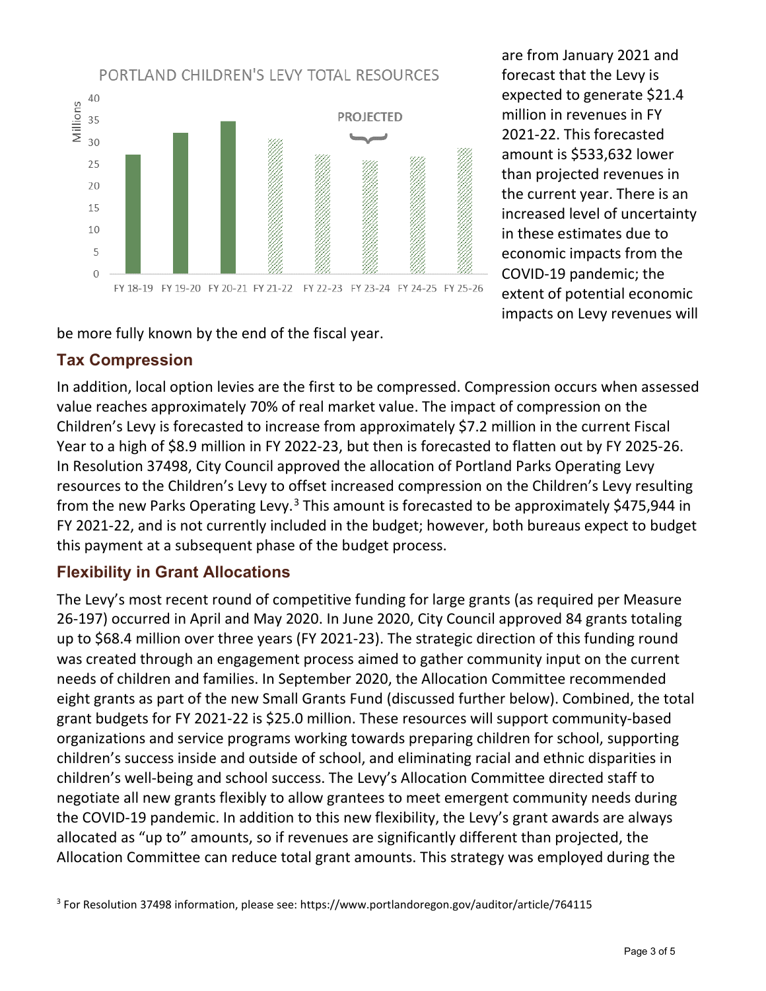

are from January 2021 and forecast that the Levy is expected to generate \$21.4 million in revenues in FY 2021-22. This forecasted amount is \$533,632 lower than projected revenues in the current year. There is an increased level of uncertainty in these estimates due to economic impacts from the COVID-19 pandemic; the extent of potential economic impacts on Levy revenues will

be more fully known by the end of the fiscal year.

#### **Tax Compression**

In addition, local option levies are the first to be compressed. Compression occurs when assessed value reaches approximately 70% of real market value. The impact of compression on the Children's Levy is forecasted to increase from approximately \$7.2 million in the current Fiscal Year to a high of \$8.9 million in FY 2022-23, but then is forecasted to flatten out by FY 2025-26. In Resolution 37498, City Council approved the allocation of Portland Parks Operating Levy resources to the Children's Levy to offset increased compression on the Children's Levy resulting from the new Parks Operating Levy.<sup>[3](#page-2-0)</sup> This amount is forecasted to be approximately \$475,944 in FY 2021-22, and is not currently included in the budget; however, both bureaus expect to budget this payment at a subsequent phase of the budget process.

#### **Flexibility in Grant Allocations**

The Levy's most recent round of competitive funding for large grants (as required per Measure 26-197) occurred in April and May 2020. In June 2020, City Council approved 84 grants totaling up to \$68.4 million over three years (FY 2021-23). The strategic direction of this funding round was created through an engagement process aimed to gather community input on the current needs of children and families. In September 2020, the Allocation Committee recommended eight grants as part of the new Small Grants Fund (discussed further below). Combined, the total grant budgets for FY 2021-22 is \$25.0 million. These resources will support community-based organizations and service programs working towards preparing children for school, supporting children's success inside and outside of school, and eliminating racial and ethnic disparities in children's well-being and school success. The Levy's Allocation Committee directed staff to negotiate all new grants flexibly to allow grantees to meet emergent community needs during the COVID-19 pandemic. In addition to this new flexibility, the Levy's grant awards are always allocated as "up to" amounts, so if revenues are significantly different than projected, the Allocation Committee can reduce total grant amounts. This strategy was employed during the

<span id="page-2-0"></span><sup>3</sup> For Resolution 37498 information, please see: https://www.portlandoregon.gov/auditor/article/764115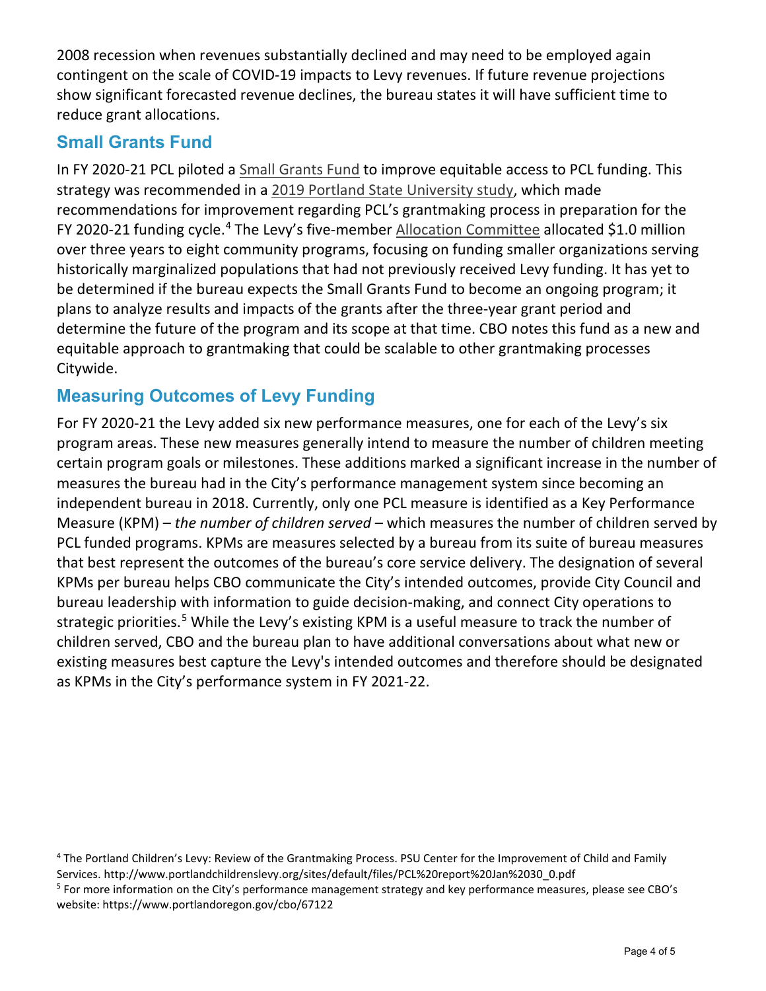2008 recession when revenues substantially declined and may need to be employed again contingent on the scale of COVID-19 impacts to Levy revenues. If future revenue projections show significant forecasted revenue declines, the bureau states it will have sufficient time to reduce grant allocations.

### **Small Grants Fund**

In FY 2020-21 PCL piloted a [Small Grants Fund](https://www.portlandchildrenslevy.org/small-grants-fund) to improve equitable access to PCL funding. This strategy was recommended in a [2019 Portland State University study,](https://www.portlandchildrenslevy.org/sites/default/files/PCL%20report%20Jan%2030_0.pdf) which made recommendations for improvement regarding PCL's grantmaking process in preparation for the FY 2020-21 funding cycle.<sup>[4](#page-3-0)</sup> The Levy's five-member **Allocation Committee allocated \$1.0 million** over three years to eight community programs, focusing on funding smaller organizations serving historically marginalized populations that had not previously received Levy funding. It has yet to be determined if the bureau expects the Small Grants Fund to become an ongoing program; it plans to analyze results and impacts of the grants after the three-year grant period and determine the future of the program and its scope at that time. CBO notes this fund as a new and equitable approach to grantmaking that could be scalable to other grantmaking processes Citywide.

### **Measuring Outcomes of Levy Funding**

For FY 2020-21 the Levy added six new performance measures, one for each of the Levy's six program areas. These new measures generally intend to measure the number of children meeting certain program goals or milestones. These additions marked a significant increase in the number of measures the bureau had in the City's performance management system since becoming an independent bureau in 2018. Currently, only one PCL measure is identified as a Key Performance Measure (KPM) – *the number of children served* – which measures the number of children served by PCL funded programs. KPMs are measures selected by a bureau from its suite of bureau measures that best represent the outcomes of the bureau's core service delivery. The designation of several KPMs per bureau helps CBO communicate the City's intended outcomes, provide City Council and bureau leadership with information to guide decision-making, and connect City operations to strategic priorities.<sup>[5](#page-3-1)</sup> While the Levy's existing KPM is a useful measure to track the number of children served, CBO and the bureau plan to have additional conversations about what new or existing measures best capture the Levy's intended outcomes and therefore should be designated as KPMs in the City's performance system in FY 2021-22.

<span id="page-3-0"></span><sup>&</sup>lt;sup>4</sup> The Portland Children's Levy: Review of the Grantmaking Process. PSU Center for the Improvement of Child and Family Services. http://www.portlandchildrenslevy.org/sites/default/files/PCL%20report%20Jan%2030\_0.pdf

<span id="page-3-1"></span><sup>5</sup> For more information on the City's performance management strategy and key performance measures, please see CBO's website: https://www.portlandoregon.gov/cbo/67122